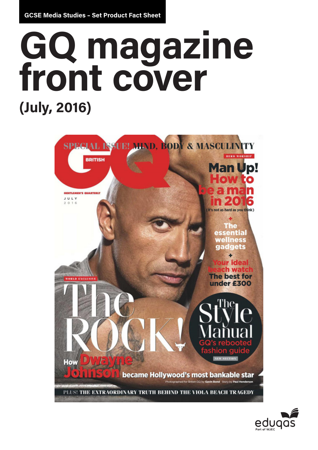**GCSE Media Studies – Set Product Fact Sheet**

# **GQ magazine front cover (July, 2016)**



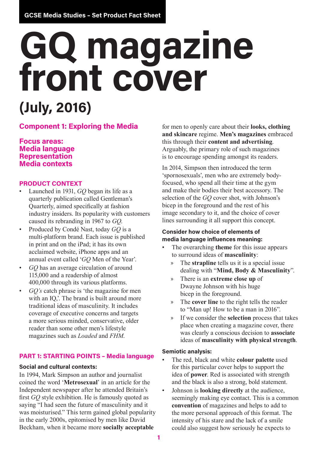## **GQ magazine front cover (July, 2016)**

## **Component 1: Exploring the Media**

## **Focus areas: Media language Representation Media contexts**

## **PRODUCT CONTEXT**

- Launched in 1931, *GQ* began its life as a quarterly publication called Gentleman's Quarterly, aimed specifically at fashion industry insiders. Its popularity with customers caused its rebranding in 1967 to *GQ*.
- Produced by Condé Nast, today *GQ* is a multi-platform brand. Each issue is published in print and on the iPad; it has its own acclaimed website, iPhone apps and an annual event called '*GQ* Men of the Year'.
- *GQ* has an average circulation of around 115,000 and a readership of almost 400,000 through its various platforms.
- *GQ's* catch phrase is 'the magazine for men with an IQ,'. The brand is built around more traditional ideas of masculinity. It includes coverage of executive concerns and targets a more serious minded, conservative, older reader than some other men's lifestyle magazines such as *Loaded* and *FHM*.

### **PART 1: STARTING POINTS – Media language**

#### **Social and cultural contexts:**

In 1994, Mark Simpson an author and journalist coined the word '**Metrosexual**' in an article for the Independent newspaper after he attended Britain's first *GQ* style exhibition. He is famously quoted as saying "I had seen the future of masculinity and it was moisturised." This term gained global popularity in the early 2000s, epitomised by men like David Beckham, when it became more **socially acceptable**

for men to openly care about their **looks, clothing and skincare** regime. **Men's magazines** embraced this through their **content and advertising**. Arguably, the primary role of such magazines is to encourage spending amongst its readers.

In 2014, Simpson then introduced the term 'spornosexuals', men who are extremely bodyfocused, who spend all their time at the gym and make their bodies their best accessory. The selection of the *GQ* cover shot, with Johnson's bicep in the foreground and the rest of his image secondary to it, and the choice of cover lines surrounding it all support this concept.

## **Consider how choice of elements of media language influences meaning:**

- The overarching **theme** for this issue appears to surround ideas of **masculinity**:
	- » The **strapline** tells us it is a special issue dealing with "**Mind, Body & Masculinity**".
	- » There is an **extreme close up** of Dwayne Johnson with his huge bicep in the foreground.
	- » The **cover line** to the right tells the reader to "Man up! How to be a man in 2016".
	- » If we consider the **selection** process that takes place when creating a magazine cover, there was clearly a conscious decision to **associate** ideas of **masculinity with physical strength**.

#### **Semiotic analysis:**

- The red, black and white **colour palette** used for this particular cover helps to support the idea of **power**. Red is associated with strength and the black is also a strong, bold statement.
- Johnson is **looking directly** at the audience, seemingly making eye contact. This is a common **convention** of magazines and helps to add to the more personal approach of this format. The intensity of his stare and the lack of a smile could also suggest how seriously he expects to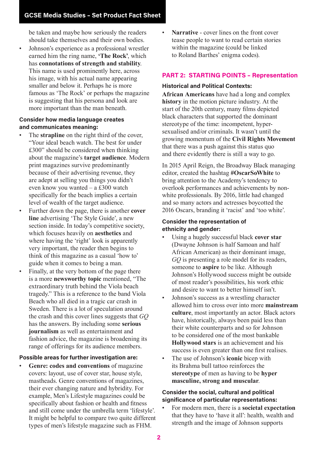be taken and maybe how seriously the readers should take themselves and their own bodies.

• Johnson's experience as a professional wrestler earned him the ring name, **'The Rock'**, which has **connotations of strength and stability**. This name is used prominently here, across his image, with his actual name appearing smaller and below it. Perhaps he is more famous as 'The Rock' or perhaps the magazine is suggesting that his persona and look are more important than the man beneath.

#### **Consider how media language creates and communicates meaning:**

- The **strapline** on the right third of the cover, "Your ideal beach watch. The best for under £300" should be considered when thinking about the magazine's **target audience**. Modern print magazines survive predominantly because of their advertising revenue, they are adept at selling you things you didn't even know you wanted – a £300 watch specifically for the beach implies a certain level of wealth of the target audience.
- Further down the page, there is another **cover line** advertising 'The Style Guide', a new section inside. In today's competitive society, which focuses heavily on **aesthetics** and where having the 'right' look is apparently very important, the reader then begins to think of this magazine as a casual 'how to' guide when it comes to being a man.
- Finally, at the very bottom of the page there is a more **newsworthy topic** mentioned, "The extraordinary truth behind the Viola beach tragedy." This is a reference to the band Viola Beach who all died in a tragic car crash in Sweden. There is a lot of speculation around the crash and this cover lines suggests that *GQ*  has the answers. By including some **serious journalism** as well as entertainment and fashion advice, the magazine is broadening its range of offerings for its audience members.

#### **Possible areas for further investigation are:**

• **Genre: codes and conventions** of magazine covers: layout, use of cover star, house style, mastheads. Genre conventions of magazines, their ever changing nature and hybridity. For example, Men's Lifestyle magazines could be specifically about fashion or health and fitness and still come under the umbrella term 'lifestyle'. It might be helpful to compare two quite different types of men's lifestyle magazine such as FHM.

Narrative - cover lines on the front cover tease people to want to read certain stories within the magazine (could be linked to Roland Barthes' enigma codes).

## **PART 2: STARTING POINTS – Representation**

#### **Historical and Political Contexts:**

**African Americans** have had a long and complex **history** in the motion picture industry. At the start of the 20th century, many films depicted black characters that supported the dominant stereotype of the time: incompetent, hypersexualised and/or criminals. It wasn't until the growing momentum of the **Civil Rights Movement**  that there was a push against this status quo and there evidently there is still a way to go.

In 2015 April Reign, the Broadway Black managing editor, created the hashtag **#OscarSoWhite** to bring attention to the Academy's tendency to overlook performances and achievements by nonwhite professionals. By 2016, little had changed and so many actors and actresses boycotted the 2016 Oscars, branding it 'racist' and 'too white'.

#### **Consider the representation of ethnicity and gender:**

- Using a hugely successful black **cover star** (Dwayne Johnson is half Samoan and half African American) as their dominant image, *GQ* is presenting a role model for its readers, someone to **aspire** to be like. Although Johnson's Hollywood success might be outside of most reader's possibilities, his work ethic and desire to want to better himself isn't.
- Johnson's success as a wrestling character allowed him to cross over into more **mainstream culture**, most importantly an actor. Black actors have, historically, always been paid less than their white counterparts and so for Johnson to be considered one of the most bankable **Hollywood stars** is an achievement and his success is even greater than one first realises.
- The use of Johnson's **iconic** bicep with its Brahma bull tattoo reinforces the **stereotype** of men as having to be **hyper masculine, strong and muscular**.

### **Consider the social, cultural and political significance of particular representations:**

• For modern men, there is a **societal expectation** that they have to 'have it all': health, wealth and strength and the image of Johnson supports